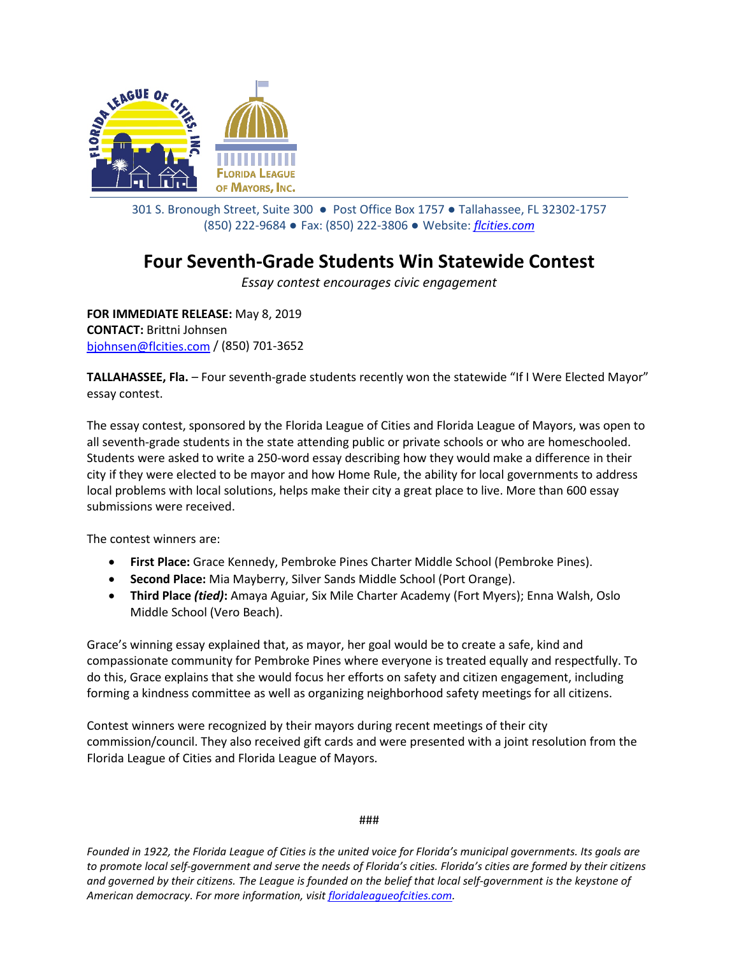

301 S. Bronough Street, Suite 300 ● Post Office Box 1757 ● Tallahassee, FL 32302-1757 (850) 222-9684 ● Fax: (850) 222-3806 ● Website: *[flcities.com](http://www.flcities.com/)*

## **Four Seventh-Grade Students Win Statewide Contest**

*Essay contest encourages civic engagement*

**FOR IMMEDIATE RELEASE:** May 8, 2019 **CONTACT:** Brittni Johnsen [bjohnsen@flcities.com](mailto:bjohnsen@flcities.com) / (850) 701-3652

**TALLAHASSEE, Fla.** – Four seventh-grade students recently won the statewide "If I Were Elected Mayor" essay contest.

The essay contest, sponsored by the Florida League of Cities and Florida League of Mayors, was open to all seventh-grade students in the state attending public or private schools or who are homeschooled. Students were asked to write a 250-word essay describing how they would make a difference in their city if they were elected to be mayor and how Home Rule, the ability for local governments to address local problems with local solutions, helps make their city a great place to live. More than 600 essay submissions were received.

The contest winners are:

- **First Place:** Grace Kennedy, Pembroke Pines Charter Middle School (Pembroke Pines).
- **Second Place:** Mia Mayberry, Silver Sands Middle School (Port Orange).
- **Third Place** *(tied)***:** Amaya Aguiar, Six Mile Charter Academy (Fort Myers); Enna Walsh, Oslo Middle School (Vero Beach).

Grace's winning essay explained that, as mayor, her goal would be to create a safe, kind and compassionate community for Pembroke Pines where everyone is treated equally and respectfully. To do this, Grace explains that she would focus her efforts on safety and citizen engagement, including forming a kindness committee as well as organizing neighborhood safety meetings for all citizens.

Contest winners were recognized by their mayors during recent meetings of their city commission/council. They also received gift cards and were presented with a joint resolution from the Florida League of Cities and Florida League of Mayors.

## ###

*Founded in 1922, the Florida League of Cities is the united voice for Florida's municipal governments. Its goals are to promote local self-government and serve the needs of Florida's cities. Florida's cities are formed by their citizens and governed by their citizens. The League is founded on the belief that local self-government is the keystone of American democracy*. *For more information, visit [floridaleagueofcities.com.](http://www.floridaleagueofcities.com/)*